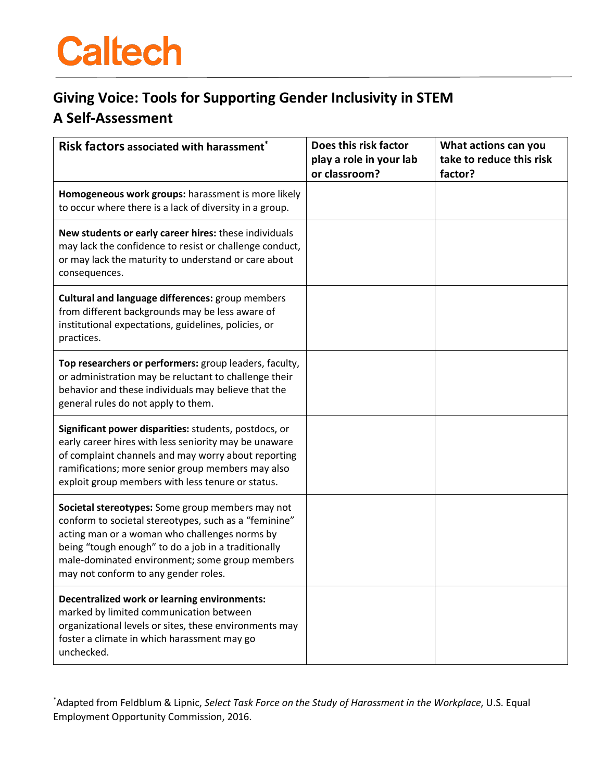## **Caltech**

## **Giving Voice: Tools for Supporting Gender Inclusivity in STEM A Self-Assessment**

| Risk factors associated with harassment*                                                                                                                                                                                                                                                                    | Does this risk factor                    | What actions can you                |
|-------------------------------------------------------------------------------------------------------------------------------------------------------------------------------------------------------------------------------------------------------------------------------------------------------------|------------------------------------------|-------------------------------------|
|                                                                                                                                                                                                                                                                                                             | play a role in your lab<br>or classroom? | take to reduce this risk<br>factor? |
| Homogeneous work groups: harassment is more likely<br>to occur where there is a lack of diversity in a group.                                                                                                                                                                                               |                                          |                                     |
| New students or early career hires: these individuals<br>may lack the confidence to resist or challenge conduct,<br>or may lack the maturity to understand or care about<br>consequences.                                                                                                                   |                                          |                                     |
| <b>Cultural and language differences: group members</b><br>from different backgrounds may be less aware of<br>institutional expectations, guidelines, policies, or<br>practices.                                                                                                                            |                                          |                                     |
| Top researchers or performers: group leaders, faculty,<br>or administration may be reluctant to challenge their<br>behavior and these individuals may believe that the<br>general rules do not apply to them.                                                                                               |                                          |                                     |
| Significant power disparities: students, postdocs, or<br>early career hires with less seniority may be unaware<br>of complaint channels and may worry about reporting<br>ramifications; more senior group members may also<br>exploit group members with less tenure or status.                             |                                          |                                     |
| Societal stereotypes: Some group members may not<br>conform to societal stereotypes, such as a "feminine"<br>acting man or a woman who challenges norms by<br>being "tough enough" to do a job in a traditionally<br>male-dominated environment; some group members<br>may not conform to any gender roles. |                                          |                                     |
| Decentralized work or learning environments:<br>marked by limited communication between<br>organizational levels or sites, these environments may<br>foster a climate in which harassment may go<br>unchecked.                                                                                              |                                          |                                     |

\* Adapted from Feldblum & Lipnic, *Select Task Force on the Study of Harassment in the Workplace*, U.S. Equal Employment Opportunity Commission, 2016.